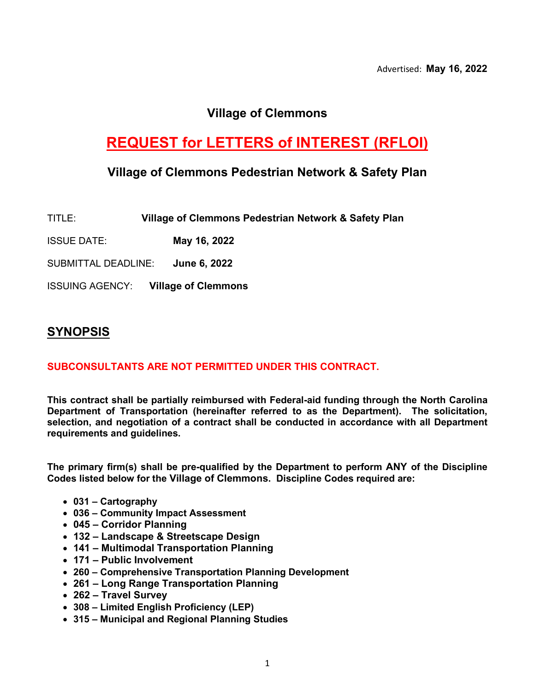### **Village of Clemmons**

# **REQUEST for LETTERS of INTEREST (RFLOI)**

### **Village of Clemmons Pedestrian Network & Safety Plan**

| TITLE: | Village of Clemmons Pedestrian Network & Safety Plan |
|--------|------------------------------------------------------|
|--------|------------------------------------------------------|

ISSUE DATE: **May 16, 2022**

SUBMITTAL DEADLINE: **June 6, 2022**

ISSUING AGENCY: **Village of Clemmons** 

### **SYNOPSIS**

### **SUBCONSULTANTS ARE NOT PERMITTED UNDER THIS CONTRACT.**

**This contract shall be partially reimbursed with Federal-aid funding through the North Carolina Department of Transportation (hereinafter referred to as the Department). The solicitation, selection, and negotiation of a contract shall be conducted in accordance with all Department requirements and guidelines.**

**The primary firm(s) shall be pre-qualified by the Department to perform ANY of the Discipline Codes listed below for the Village of Clemmons. Discipline Codes required are:**

- **031 – Cartography**
- **036 – Community Impact Assessment**
- **045 – Corridor Planning**
- **132 – Landscape & Streetscape Design**
- **141 – Multimodal Transportation Planning**
- **171 – Public Involvement**
- **260 – Comprehensive Transportation Planning Development**
- **261 – Long Range Transportation Planning**
- **262 – Travel Survey**
- **308 – Limited English Proficiency (LEP)**
- **315 – Municipal and Regional Planning Studies**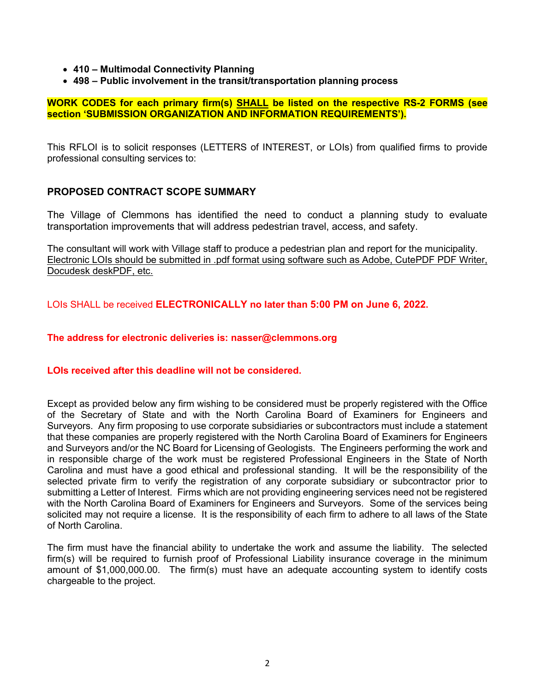- **410 – Multimodal Connectivity Planning**
- **498 – Public involvement in the transit/transportation planning process**

**WORK CODES for each primary firm(s) SHALL be listed on the respective RS-2 FORMS (see section 'SUBMISSION ORGANIZATION AND INFORMATION REQUIREMENTS').**

This RFLOI is to solicit responses (LETTERS of INTEREST, or LOIs) from qualified firms to provide professional consulting services to:

#### **PROPOSED CONTRACT SCOPE SUMMARY**

The Village of Clemmons has identified the need to conduct a planning study to evaluate transportation improvements that will address pedestrian travel, access, and safety.

The consultant will work with Village staff to produce a pedestrian plan and report for the municipality. Electronic LOIs should be submitted in .pdf format using software such as Adobe, CutePDF PDF Writer, Docudesk deskPDF, etc.

LOIs SHALL be received **ELECTRONICALLY no later than 5:00 PM on June 6, 2022.**

#### **The address for electronic deliveries is: nasser@clemmons.org**

#### **LOIs received after this deadline will not be considered.**

Except as provided below any firm wishing to be considered must be properly registered with the Office of the Secretary of State and with the North Carolina Board of Examiners for Engineers and Surveyors. Any firm proposing to use corporate subsidiaries or subcontractors must include a statement that these companies are properly registered with the North Carolina Board of Examiners for Engineers and Surveyors and/or the NC Board for Licensing of Geologists. The Engineers performing the work and in responsible charge of the work must be registered Professional Engineers in the State of North Carolina and must have a good ethical and professional standing. It will be the responsibility of the selected private firm to verify the registration of any corporate subsidiary or subcontractor prior to submitting a Letter of Interest. Firms which are not providing engineering services need not be registered with the North Carolina Board of Examiners for Engineers and Surveyors. Some of the services being solicited may not require a license. It is the responsibility of each firm to adhere to all laws of the State of North Carolina.

The firm must have the financial ability to undertake the work and assume the liability. The selected firm(s) will be required to furnish proof of Professional Liability insurance coverage in the minimum amount of \$1,000,000.00. The firm(s) must have an adequate accounting system to identify costs chargeable to the project.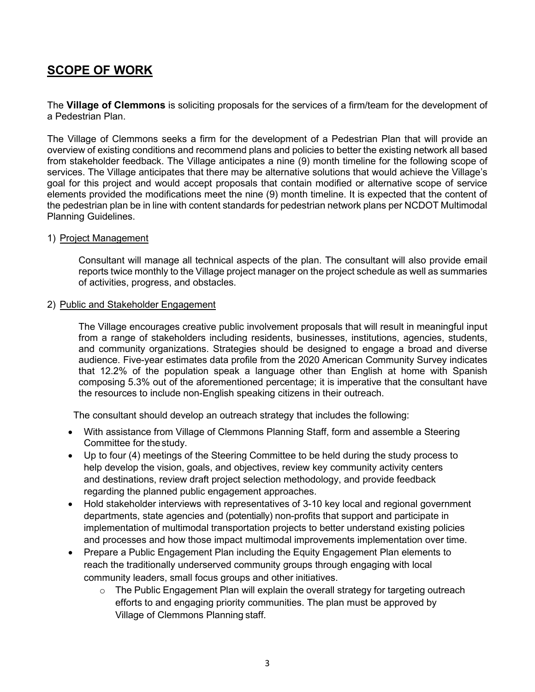# **SCOPE OF WORK**

The **Village of Clemmons** is soliciting proposals for the services of a firm/team for the development of a Pedestrian Plan.

The Village of Clemmons seeks a firm for the development of a Pedestrian Plan that will provide an overview of existing conditions and recommend plans and policies to better the existing network all based from stakeholder feedback. The Village anticipates a nine (9) month timeline for the following scope of services. The Village anticipates that there may be alternative solutions that would achieve the Village's goal for this project and would accept proposals that contain modified or alternative scope of service elements provided the modifications meet the nine (9) month timeline. It is expected that the content of the pedestrian plan be in line with content standards for pedestrian network plans per NCDOT Multimodal Planning Guidelines.

#### 1) Project Management

Consultant will manage all technical aspects of the plan. The consultant will also provide email reports twice monthly to the Village project manager on the project schedule as well as summaries of activities, progress, and obstacles.

#### 2) Public and Stakeholder Engagement

The Village encourages creative public involvement proposals that will result in meaningful input from a range of stakeholders including residents, businesses, institutions, agencies, students, and community organizations. Strategies should be designed to engage a broad and diverse audience. Five-year estimates data profile from the 2020 American Community Survey indicates that 12.2% of the population speak a language other than English at home with Spanish composing 5.3% out of the aforementioned percentage; it is imperative that the consultant have the resources to include non-English speaking citizens in their outreach.

The consultant should develop an outreach strategy that includes the following:

- With assistance from Village of Clemmons Planning Staff, form and assemble a Steering Committee for thestudy.
- Up to four (4) meetings of the Steering Committee to be held during the study process to help develop the vision, goals, and objectives, review key community activity centers and destinations, review draft project selection methodology, and provide feedback regarding the planned public engagement approaches.
- Hold stakeholder interviews with representatives of 3-10 key local and regional government departments, state agencies and (potentially) non-profits that support and participate in implementation of multimodal transportation projects to better understand existing policies and processes and how those impact multimodal improvements implementation over time.
- Prepare a Public Engagement Plan including the Equity Engagement Plan elements to reach the traditionally underserved community groups through engaging with local community leaders, small focus groups and other initiatives.
	- o The Public Engagement Plan will explain the overall strategy for targeting outreach efforts to and engaging priority communities. The plan must be approved by Village of Clemmons Planning staff.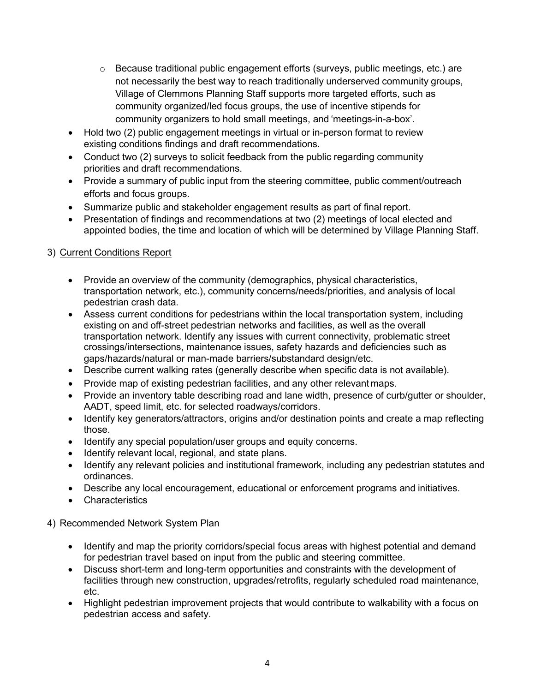- $\circ$  Because traditional public engagement efforts (surveys, public meetings, etc.) are not necessarily the best way to reach traditionally underserved community groups, Village of Clemmons Planning Staff supports more targeted efforts, such as community organized/led focus groups, the use of incentive stipends for community organizers to hold small meetings, and 'meetings-in-a-box'.
- Hold two (2) public engagement meetings in virtual or in-person format to review existing conditions findings and draft recommendations.
- Conduct two (2) surveys to solicit feedback from the public regarding community priorities and draft recommendations.
- Provide a summary of public input from the steering committee, public comment/outreach efforts and focus groups.
- Summarize public and stakeholder engagement results as part of final report.
- Presentation of findings and recommendations at two (2) meetings of local elected and appointed bodies, the time and location of which will be determined by Village Planning Staff.

### 3) Current Conditions Report

- Provide an overview of the community (demographics, physical characteristics, transportation network, etc.), community concerns/needs/priorities, and analysis of local pedestrian crash data.
- Assess current conditions for pedestrians within the local transportation system, including existing on and off-street pedestrian networks and facilities, as well as the overall transportation network. Identify any issues with current connectivity, problematic street crossings/intersections, maintenance issues, safety hazards and deficiencies such as gaps/hazards/natural or man-made barriers/substandard design/etc.
- Describe current walking rates (generally describe when specific data is not available).
- Provide map of existing pedestrian facilities, and any other relevant maps.
- Provide an inventory table describing road and lane width, presence of curb/gutter or shoulder, AADT, speed limit, etc. for selected roadways/corridors.
- Identify key generators/attractors, origins and/or destination points and create a map reflecting those.
- Identify any special population/user groups and equity concerns.
- Identify relevant local, regional, and state plans.
- Identify any relevant policies and institutional framework, including any pedestrian statutes and ordinances.
- Describe any local encouragement, educational or enforcement programs and initiatives.
- Characteristics

### 4) Recommended Network System Plan

- Identify and map the priority corridors/special focus areas with highest potential and demand for pedestrian travel based on input from the public and steering committee.
- Discuss short-term and long-term opportunities and constraints with the development of facilities through new construction, upgrades/retrofits, regularly scheduled road maintenance, etc.
- Highlight pedestrian improvement projects that would contribute to walkability with a focus on pedestrian access and safety.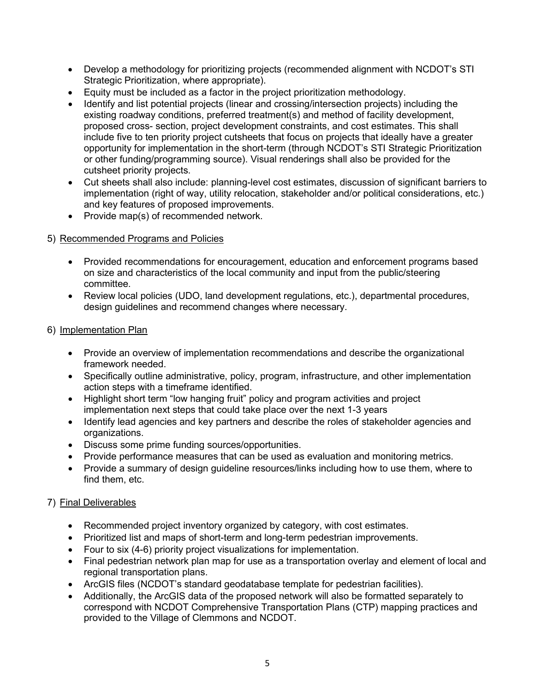- Develop a methodology for prioritizing projects (recommended alignment with NCDOT's STI Strategic Prioritization, where appropriate).
- Equity must be included as a factor in the project prioritization methodology.
- Identify and list potential projects (linear and crossing/intersection projects) including the existing roadway conditions, preferred treatment(s) and method of facility development, proposed cross- section, project development constraints, and cost estimates. This shall include five to ten priority project cutsheets that focus on projects that ideally have a greater opportunity for implementation in the short-term (through NCDOT's STI Strategic Prioritization or other funding/programming source). Visual renderings shall also be provided for the cutsheet priority projects.
- Cut sheets shall also include: planning-level cost estimates, discussion of significant barriers to implementation (right of way, utility relocation, stakeholder and/or political considerations, etc.) and key features of proposed improvements.
- Provide map(s) of recommended network.

#### 5) Recommended Programs and Policies

- Provided recommendations for encouragement, education and enforcement programs based on size and characteristics of the local community and input from the public/steering committee.
- Review local policies (UDO, land development regulations, etc.), departmental procedures, design guidelines and recommend changes where necessary.

#### 6) Implementation Plan

- Provide an overview of implementation recommendations and describe the organizational framework needed.
- Specifically outline administrative, policy, program, infrastructure, and other implementation action steps with a timeframe identified.
- Highlight short term "low hanging fruit" policy and program activities and project implementation next steps that could take place over the next 1-3 years
- Identify lead agencies and key partners and describe the roles of stakeholder agencies and organizations.
- Discuss some prime funding sources/opportunities.
- Provide performance measures that can be used as evaluation and monitoring metrics.
- Provide a summary of design guideline resources/links including how to use them, where to find them, etc.

#### 7) Final Deliverables

- Recommended project inventory organized by category, with cost estimates.
- Prioritized list and maps of short-term and long-term pedestrian improvements.
- Four to six (4-6) priority project visualizations for implementation.
- Final pedestrian network plan map for use as a transportation overlay and element of local and regional transportation plans.
- ArcGIS files (NCDOT's standard geodatabase template for pedestrian facilities).
- Additionally, the ArcGIS data of the proposed network will also be formatted separately to correspond with NCDOT Comprehensive Transportation Plans (CTP) mapping practices and provided to the Village of Clemmons and NCDOT.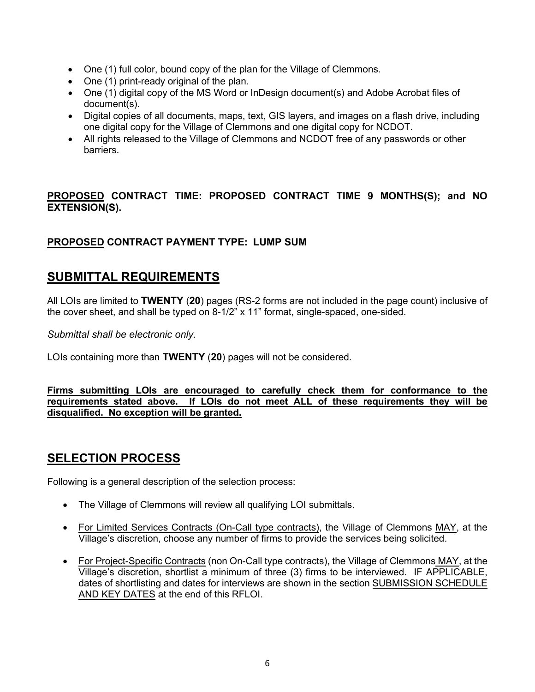- One (1) full color, bound copy of the plan for the Village of Clemmons.
- One (1) print-ready original of the plan.
- One (1) digital copy of the MS Word or InDesign document(s) and Adobe Acrobat files of document(s).
- Digital copies of all documents, maps, text, GIS layers, and images on a flash drive, including one digital copy for the Village of Clemmons and one digital copy for NCDOT.
- All rights released to the Village of Clemmons and NCDOT free of any passwords or other barriers.

### **PROPOSED CONTRACT TIME: PROPOSED CONTRACT TIME 9 MONTHS(S); and NO EXTENSION(S).**

### **PROPOSED CONTRACT PAYMENT TYPE: LUMP SUM**

### **SUBMITTAL REQUIREMENTS**

All LOIs are limited to **TWENTY** (**20**) pages (RS-2 forms are not included in the page count) inclusive of the cover sheet, and shall be typed on 8-1/2" x 11" format, single-spaced, one-sided.

*Submittal shall be electronic only.*

LOIs containing more than **TWENTY** (**20**) pages will not be considered.

**Firms submitting LOIs are encouraged to carefully check them for conformance to the requirements stated above. If LOIs do not meet ALL of these requirements they will be disqualified. No exception will be granted.**

# **SELECTION PROCESS**

Following is a general description of the selection process:

- The Village of Clemmons will review all qualifying LOI submittals.
- For Limited Services Contracts (On-Call type contracts), the Village of Clemmons MAY, at the Village's discretion, choose any number of firms to provide the services being solicited.
- For Project-Specific Contracts (non On-Call type contracts), the Village of Clemmons MAY, at the Village's discretion, shortlist a minimum of three (3) firms to be interviewed. IF APPLICABLE, dates of shortlisting and dates for interviews are shown in the section SUBMISSION SCHEDULE AND KEY DATES at the end of this RFLOI.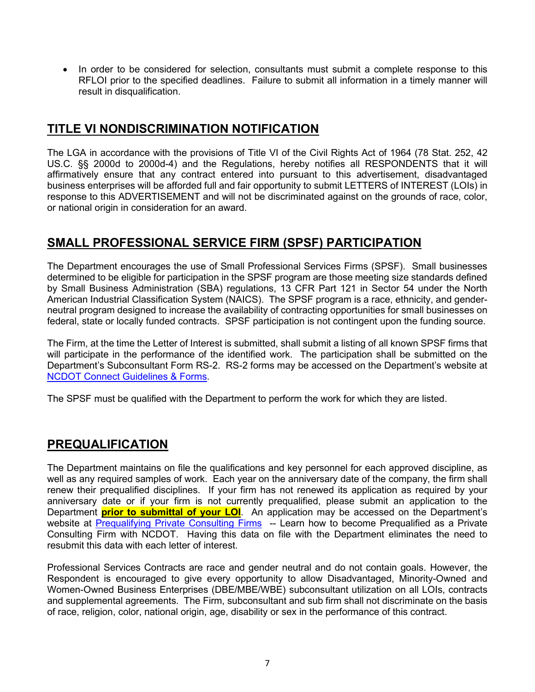• In order to be considered for selection, consultants must submit a complete response to this RFLOI prior to the specified deadlines. Failure to submit all information in a timely manner will result in disqualification.

# **TITLE VI NONDISCRIMINATION NOTIFICATION**

The LGA in accordance with the provisions of Title VI of the Civil Rights Act of 1964 (78 Stat. 252, 42 US.C. §§ 2000d to 2000d-4) and the Regulations, hereby notifies all RESPONDENTS that it will affirmatively ensure that any contract entered into pursuant to this advertisement, disadvantaged business enterprises will be afforded full and fair opportunity to submit LETTERS of INTEREST (LOIs) in response to this ADVERTISEMENT and will not be discriminated against on the grounds of race, color, or national origin in consideration for an award.

# **SMALL PROFESSIONAL SERVICE FIRM (SPSF) PARTICIPATION**

The Department encourages the use of Small Professional Services Firms (SPSF). Small businesses determined to be eligible for participation in the SPSF program are those meeting size standards defined by Small Business Administration (SBA) regulations, 13 CFR Part 121 in Sector 54 under the North American Industrial Classification System (NAICS). The SPSF program is a race, ethnicity, and genderneutral program designed to increase the availability of contracting opportunities for small businesses on federal, state or locally funded contracts. SPSF participation is not contingent upon the funding source.

The Firm, at the time the Letter of Interest is submitted, shall submit a listing of all known SPSF firms that will participate in the performance of the identified work. The participation shall be submitted on the Department's Subconsultant Form RS-2. RS-2 forms may be accessed on the Department's website at [NCDOT Connect Guidelines & Forms.](https://connect.ncdot.gov/business/consultants/Pages/Guidelines-Forms.aspx)

The SPSF must be qualified with the Department to perform the work for which they are listed.

# **PREQUALIFICATION**

The Department maintains on file the qualifications and key personnel for each approved discipline, as well as any required samples of work. Each year on the anniversary date of the company, the firm shall renew their prequalified disciplines. If your firm has not renewed its application as required by your anniversary date or if your firm is not currently prequalified, please submit an application to the Department **prior to submittal of your LOI**. An application may be accessed on the Department's website at [Prequalifying Private Consulting Firms](https://connect.ncdot.gov/business/Prequal/Pages/Private-Consulting-Firm.aspx) -- Learn how to become Prequalified as a Private Consulting Firm with NCDOT. Having this data on file with the Department eliminates the need to resubmit this data with each letter of interest.

Professional Services Contracts are race and gender neutral and do not contain goals. However, the Respondent is encouraged to give every opportunity to allow Disadvantaged, Minority-Owned and Women-Owned Business Enterprises (DBE/MBE/WBE) subconsultant utilization on all LOIs, contracts and supplemental agreements. The Firm, subconsultant and sub firm shall not discriminate on the basis of race, religion, color, national origin, age, disability or sex in the performance of this contract.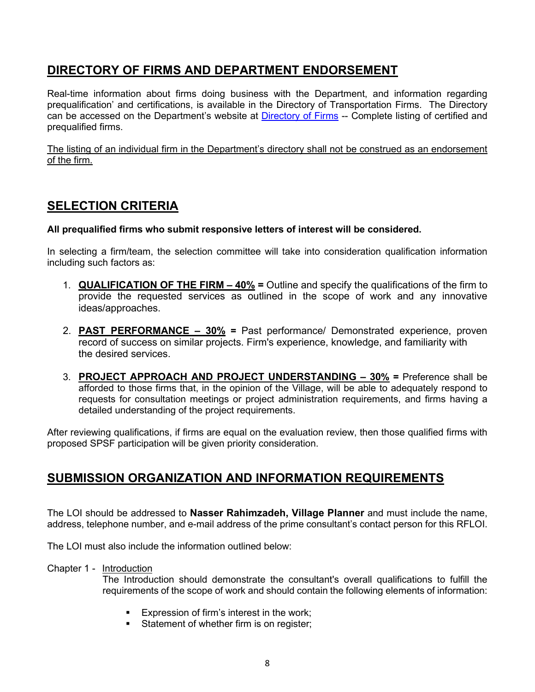# **DIRECTORY OF FIRMS AND DEPARTMENT ENDORSEMENT**

Real-time information about firms doing business with the Department, and information regarding prequalification' and certifications, is available in the Directory of Transportation Firms. The Directory can be accessed on the Department's website at [Directory of Firms](https://www.ebs.nc.gov/VendorDirectory/default.html) -- Complete listing of certified and prequalified firms.

The listing of an individual firm in the Department's directory shall not be construed as an endorsement of the firm.

# **SELECTION CRITERIA**

#### **All prequalified firms who submit responsive letters of interest will be considered.**

In selecting a firm/team, the selection committee will take into consideration qualification information including such factors as:

- 1. **QUALIFICATION OF THE FIRM – 40% =** Outline and specify the qualifications of the firm to provide the requested services as outlined in the scope of work and any innovative ideas/approaches.
- 2. **PAST PERFORMANCE – 30% =** Past performance/ Demonstrated experience, proven record of success on similar projects. Firm's experience, knowledge, and familiarity with the desired services.
- 3. **PROJECT APPROACH AND PROJECT UNDERSTANDING – 30% =** Preference shall be afforded to those firms that, in the opinion of the Village, will be able to adequately respond to requests for consultation meetings or project administration requirements, and firms having a detailed understanding of the project requirements.

After reviewing qualifications, if firms are equal on the evaluation review, then those qualified firms with proposed SPSF participation will be given priority consideration.

# **SUBMISSION ORGANIZATION AND INFORMATION REQUIREMENTS**

The LOI should be addressed to **Nasser Rahimzadeh, Village Planner** and must include the name, address, telephone number, and e-mail address of the prime consultant's contact person for this RFLOI.

The LOI must also include the information outlined below:

Chapter 1 - Introduction

The Introduction should demonstrate the consultant's overall qualifications to fulfill the requirements of the scope of work and should contain the following elements of information:

- **Expression of firm's interest in the work;**
- **Statement of whether firm is on register;**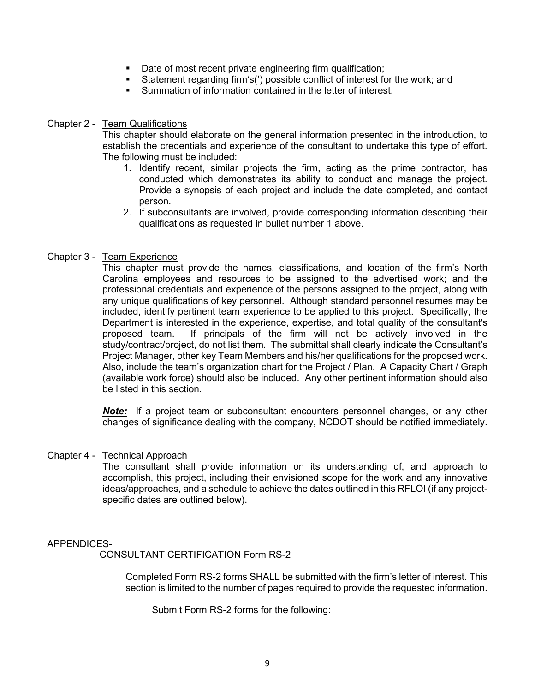- Date of most recent private engineering firm qualification;
- Statement regarding firm's(') possible conflict of interest for the work; and
- Summation of information contained in the letter of interest.

#### Chapter 2 - Team Qualifications

This chapter should elaborate on the general information presented in the introduction, to establish the credentials and experience of the consultant to undertake this type of effort. The following must be included:

- 1. Identify recent, similar projects the firm, acting as the prime contractor, has conducted which demonstrates its ability to conduct and manage the project. Provide a synopsis of each project and include the date completed, and contact person.
- 2. If subconsultants are involved, provide corresponding information describing their qualifications as requested in bullet number 1 above.

#### Chapter 3 - Team Experience

This chapter must provide the names, classifications, and location of the firm's North Carolina employees and resources to be assigned to the advertised work; and the professional credentials and experience of the persons assigned to the project, along with any unique qualifications of key personnel. Although standard personnel resumes may be included, identify pertinent team experience to be applied to this project. Specifically, the Department is interested in the experience, expertise, and total quality of the consultant's proposed team. If principals of the firm will not be actively involved in the study/contract/project, do not list them. The submittal shall clearly indicate the Consultant's Project Manager, other key Team Members and his/her qualifications for the proposed work. Also, include the team's organization chart for the Project / Plan. A Capacity Chart / Graph (available work force) should also be included. Any other pertinent information should also be listed in this section.

*Note:* If a project team or subconsultant encounters personnel changes, or any other changes of significance dealing with the company, NCDOT should be notified immediately.

#### Chapter 4 - Technical Approach

The consultant shall provide information on its understanding of, and approach to accomplish, this project, including their envisioned scope for the work and any innovative ideas/approaches, and a schedule to achieve the dates outlined in this RFLOI (if any projectspecific dates are outlined below).

#### APPENDICES-

CONSULTANT CERTIFICATION Form RS-2

Completed Form RS-2 forms SHALL be submitted with the firm's letter of interest. This section is limited to the number of pages required to provide the requested information.

Submit Form RS-2 forms for the following: